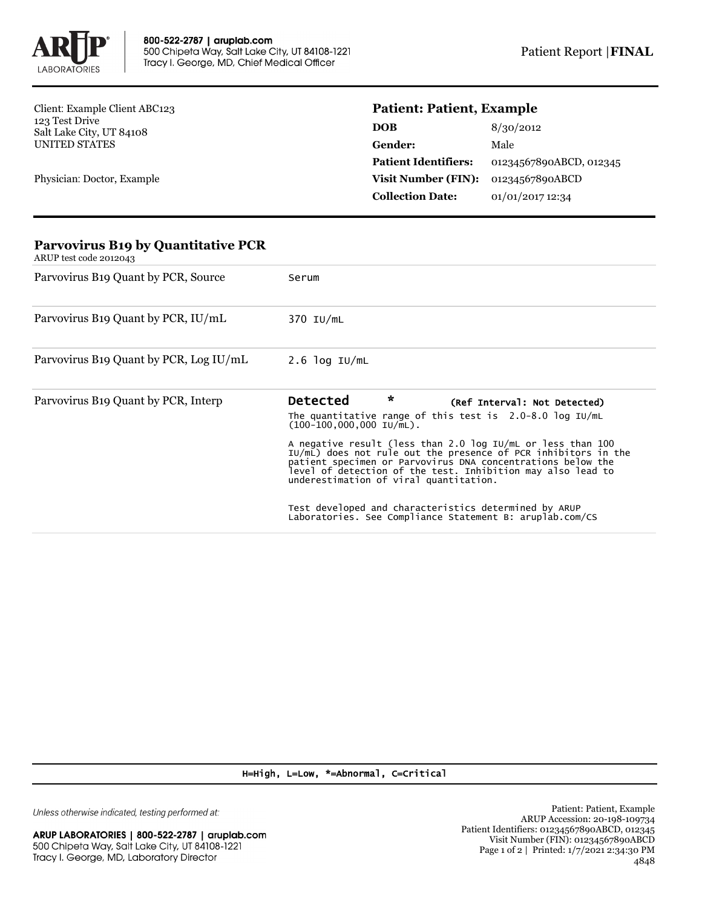

Client: Example Client ABC123 123 Test Drive Salt Lake City, UT 84108 UNITED STATES

Physician: Doctor, Example

## **Patient: Patient, Example**

| DOB                         | 8/30/2012               |
|-----------------------------|-------------------------|
| <b>Gender:</b>              | Male                    |
| <b>Patient Identifiers:</b> | 01234567890ABCD, 012345 |
| <b>Visit Number (FIN):</b>  | 01234567890ABCD         |
| <b>Collection Date:</b>     | 01/01/2017 12:34        |

| <b>Parvovirus B19 by Quantitative PCR</b><br>ARUP test code 2012043 |                                                                                                                                                                                                                                                                                                       |  |  |
|---------------------------------------------------------------------|-------------------------------------------------------------------------------------------------------------------------------------------------------------------------------------------------------------------------------------------------------------------------------------------------------|--|--|
| Parvovirus B <sub>19</sub> Quant by PCR, Source                     | Serum                                                                                                                                                                                                                                                                                                 |  |  |
| Parvovirus B <sub>19</sub> Quant by PCR, IU/mL                      | 370 IU/mL                                                                                                                                                                                                                                                                                             |  |  |
| Parvovirus B <sub>19</sub> Quant by PCR, Log IU/mL                  | $2.6$ log IU/mL                                                                                                                                                                                                                                                                                       |  |  |
| Parvovirus B <sub>19</sub> Quant by PCR, Interp                     | $\star$<br><b>Detected</b><br>(Ref Interval: Not Detected)<br>The quantitative range of this test is $2.0-8.0$ log IU/mL<br>$(100-100,000,000,10/\text{mL})$ .                                                                                                                                        |  |  |
|                                                                     | A negative result (less than 2.0 log IU/mL or less than 100<br>IU/mL) does not rule out the presence of PCR inhibitors in the<br>patient specimen or Parvovirus DNA concentrations below the<br>level of detection of the test. Inhibition may also lead to<br>underestimation of viral quantitation. |  |  |
|                                                                     | Test developed and characteristics determined by ARUP<br>Laboratories. See Compliance Statement B: aruplab.com/CS                                                                                                                                                                                     |  |  |

H=High, L=Low, \*=Abnormal, C=Critical

Unless otherwise indicated, testing performed at: